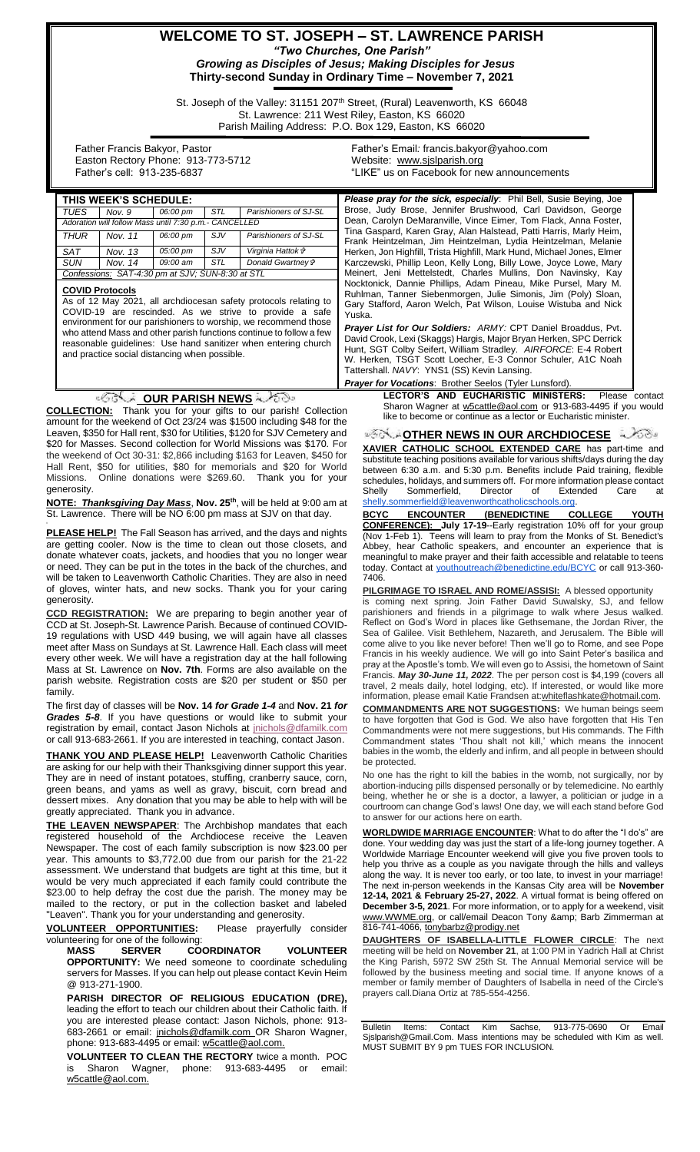## **WELCOME TO ST. JOSEPH – ST. LAWRENCE PARISH** *"Two Churches, One Parish" Growing as Disciples of Jesus; Making Disciples for Jesus* **Thirty-second Sunday in Ordinary Time – November 7, 2021**

St. Joseph of the Valley: 31151 207<sup>th</sup> Street, (Rural) Leavenworth, KS 66048 St. Lawrence: 211 West Riley, Easton, KS 66020 Parish Mailing Address: P.O. Box 129, Easton, KS 66020

 Father Francis Bakyor, Pastor Easton Rectory Phone: 913-773-5712 Father's cell: 913-235-6837

Father's Email*:* francis.bakyor@yahoo.com Website: [www.sjslparish.org](http://www.sjslparish.org/) "LIKE" us on Facebook for new announcements

| THIS WEEK'S SCHEDULE:                                                                                                                          | <b>Please pray for the sick, especially:</b> Phil Bell, Susie Beying, Joe                                                                                   |
|------------------------------------------------------------------------------------------------------------------------------------------------|-------------------------------------------------------------------------------------------------------------------------------------------------------------|
| <b>TUES</b><br>Nov. 9<br>06:00 pm<br>STL<br>Parishioners of SJ-SL                                                                              | Brose, Judy Brose, Jennifer Brushwood, Carl Davidson, George<br>Dean, Carolyn DeMaranville, Vince Eimer, Tom Flack, Anna Foster,                            |
| Adoration will follow Mass until 7:30 p.m.- CANCELLED<br><b>THUR</b><br>06:00 pm<br>SJV<br>Parishioners of SJ-SL<br>Nov. 11                    | Tina Gaspard, Karen Gray, Alan Halstead, Patti Harris, Marly Heim,                                                                                          |
|                                                                                                                                                | Frank Heintzelman, Jim Heintzelman, Lydia Heintzelman, Melanie                                                                                              |
| <b>SAT</b><br>SJV<br>Virginia Hattok &<br>Nov. 13<br>05:00 pm<br>STL<br>Donald Gwartney &<br>SUN<br>Nov. 14<br>09:00 am                        | Herken, Jon Highfill, Trista Highfill, Mark Hund, Michael Jones, Elmer<br>Karczewski, Phillip Leon, Kelly Long, Billy Lowe, Joyce Lowe, Mary                |
| Confessions: SAT-4:30 pm at SJV; SUN-8:30 at STL                                                                                               | Meinert, Jeni Mettelstedt, Charles Mullins, Don Navinsky, Kay                                                                                               |
|                                                                                                                                                | Nocktonick, Dannie Phillips, Adam Pineau, Mike Pursel, Mary M.                                                                                              |
| <b>COVID Protocols</b><br>As of 12 May 2021, all archdiocesan safety protocols relating to                                                     | Ruhlman, Tanner Siebenmorgen, Julie Simonis, Jim (Poly) Sloan,                                                                                              |
| COVID-19 are rescinded. As we strive to provide a safe                                                                                         | Gary Stafford, Aaron Welch, Pat Wilson, Louise Wistuba and Nick<br>Yuska.                                                                                   |
| environment for our parishioners to worship, we recommend those                                                                                | <b>Prayer List for Our Soldiers: ARMY: CPT Daniel Broaddus, Pvt.</b>                                                                                        |
| who attend Mass and other parish functions continue to follow a few                                                                            | David Crook, Lexi (Skaggs) Hargis, Major Bryan Herken, SPC Derrick                                                                                          |
| reasonable guidelines: Use hand sanitizer when entering church<br>and practice social distancing when possible.                                | Hunt, SGT Colby Seifert, William Stradley. AIRFORCE: E-4 Robert                                                                                             |
|                                                                                                                                                | W. Herken, TSGT Scott Loecher, E-3 Connor Schuler, A1C Noah                                                                                                 |
|                                                                                                                                                | Tattershall. NAVY: YNS1 (SS) Kevin Lansing.                                                                                                                 |
|                                                                                                                                                | <b>Prayer for Vocations: Brother Seelos (Tyler Lunsford).</b><br>LECTOR'S AND EUCHARISTIC MINISTERS:<br>Please contact                                      |
| ⊴∕ি∜∞ OUR PARISH NEWS ష≻్తు                                                                                                                    | Sharon Wagner at w5cattle@aol.com or 913-683-4495 if you would                                                                                              |
| <b>COLLECTION:</b> Thank you for your gifts to our parish! Collection<br>amount for the weekend of Oct 23/24 was \$1500 including \$48 for the | like to become or continue as a lector or Eucharistic minister.                                                                                             |
| Leaven, \$350 for Hall rent, \$30 for Utilities, \$120 for SJV Cemetery and                                                                    | <b>SIGN A OTHER NEWS IN OUR ARCHDIOCESE</b>                                                                                                                 |
| \$20 for Masses. Second collection for World Missions was \$170. For                                                                           | XAVIER CATHOLIC SCHOOL EXTENDED CARE has part-time and                                                                                                      |
| the weekend of Oct 30-31: \$2,866 including \$163 for Leaven, \$450 for                                                                        | substitute teaching positions available for various shifts/days during the day                                                                              |
| Hall Rent, \$50 for utilities, \$80 for memorials and \$20 for World                                                                           | between 6:30 a.m. and 5:30 p.m. Benefits include Paid training, flexible                                                                                    |
| Missions. Online donations were \$269.60. Thank you for your<br>generosity.                                                                    | schedules, holidays, and summers off. For more information please contact                                                                                   |
| NOTE: Thanksgiving Day Mass, Nov. 25 <sup>th</sup> , will be held at 9:00 am at                                                                | Shelly<br>Sommerfield,<br>Director<br>οf<br>Extended<br>Care<br>at<br>shelly.sommerfield@leavenworthcatholicschools.org.                                    |
| St. Lawrence. There will be NO 6:00 pm mass at SJV on that day.                                                                                | <b>BCYC</b><br><b>ENCOUNTER</b><br><b>(BENEDICTINE</b><br><b>COLLEGE</b><br>YOUTH                                                                           |
|                                                                                                                                                | <b>CONFERENCE): July 17-19-Early registration 10% off for your group</b>                                                                                    |
| PLEASE HELP! The Fall Season has arrived, and the days and nights                                                                              | (Nov 1-Feb 1). Teens will learn to pray from the Monks of St. Benedict's                                                                                    |
| are getting cooler. Now is the time to clean out those closets, and<br>donate whatever coats, jackets, and hoodies that you no longer wear     | Abbey, hear Catholic speakers, and encounter an experience that is                                                                                          |
| or need. They can be put in the totes in the back of the churches, and                                                                         | meaningful to make prayer and their faith accessible and relatable to teens<br>today. Contact at youthoutreach@benedictine.edu/BCYC or call 913-360-        |
| will be taken to Leavenworth Catholic Charities. They are also in need                                                                         | 7406.                                                                                                                                                       |
| of gloves, winter hats, and new socks. Thank you for your caring                                                                               | <b>PILGRIMAGE TO ISRAEL AND ROME/ASSISI:</b> A blessed opportunity                                                                                          |
| generosity.                                                                                                                                    | is coming next spring. Join Father David Suwalsky, SJ, and fellow                                                                                           |
| <b>CCD REGISTRATION:</b> We are preparing to begin another year of                                                                             | parishioners and friends in a pilgrimage to walk where Jesus walked.<br>Reflect on God's Word in places like Gethsemane, the Jordan River, the              |
| CCD at St. Joseph-St. Lawrence Parish. Because of continued COVID-<br>19 regulations with USD 449 busing, we will again have all classes       | Sea of Galilee. Visit Bethlehem, Nazareth, and Jerusalem. The Bible will                                                                                    |
| meet after Mass on Sundays at St. Lawrence Hall. Each class will meet                                                                          | come alive to you like never before! Then we'll go to Rome, and see Pope                                                                                    |
| every other week. We will have a registration day at the hall following                                                                        | Francis in his weekly audience. We will go into Saint Peter's basilica and                                                                                  |
| Mass at St. Lawrence on Nov. 7th. Forms are also available on the                                                                              | pray at the Apostle's tomb. We will even go to Assisi, the hometown of Saint<br>Francis. May 30-June 11, 2022. The per person cost is \$4,199 (covers all   |
| parish website. Registration costs are \$20 per student or \$50 per                                                                            | travel, 2 meals daily, hotel lodging, etc). If interested, or would like more                                                                               |
| family.                                                                                                                                        | information, please email Katie Frandsen at: whiteflashkate@hotmail.com.                                                                                    |
| The first day of classes will be Nov. 14 for Grade 1-4 and Nov. 21 for<br>Grades 5-8. If you have questions or would like to submit your       | <b>COMMANDMENTS ARE NOT SUGGESTIONS:</b> We human beings seem                                                                                               |
| registration by email, contact Jason Nichols at inichols@dfamilk.com                                                                           | to have forgotten that God is God. We also have forgotten that His Ten<br>Commandments were not mere suggestions, but His commands. The Fifth               |
| or call 913-683-2661. If you are interested in teaching, contact Jason.                                                                        | Commandment states 'Thou shalt not kill,' which means the innocent                                                                                          |
| <b>THANK YOU AND PLEASE HELP!</b> Leavenworth Catholic Charities                                                                               | babies in the womb, the elderly and infirm, and all people in between should                                                                                |
| are asking for our help with their Thanksgiving dinner support this year.                                                                      | be protected.                                                                                                                                               |
| They are in need of instant potatoes, stuffing, cranberry sauce, corn,                                                                         | No one has the right to kill the babies in the womb, not surgically, nor by                                                                                 |
| green beans, and yams as well as gravy, biscuit, corn bread and                                                                                | abortion-inducing pills dispensed personally or by telemedicine. No earthly<br>being, whether he or she is a doctor, a lawyer, a politician or judge in a   |
| dessert mixes. Any donation that you may be able to help with will be                                                                          | courtroom can change God's laws! One day, we will each stand before God                                                                                     |
| greatly appreciated. Thank you in advance.                                                                                                     | to answer for our actions here on earth.                                                                                                                    |
| <b>THE LEAVEN NEWSPAPER:</b> The Archbishop mandates that each<br>registered household of the Archdiocese receive the Leaven                   | <b>WORLDWIDE MARRIAGE ENCOUNTER:</b> What to do after the "I do's" are                                                                                      |
| Newspaper. The cost of each family subscription is now \$23.00 per                                                                             | done. Your wedding day was just the start of a life-long journey together. A                                                                                |
| year. This amounts to \$3,772.00 due from our parish for the 21-22                                                                             | Worldwide Marriage Encounter weekend will give you five proven tools to                                                                                     |
| assessment. We understand that budgets are tight at this time, but it                                                                          | help you thrive as a couple as you navigate through the hills and valleys<br>along the way. It is never too early, or too late, to invest in your marriage! |
| would be very much appreciated if each family could contribute the                                                                             | The next in-person weekends in the Kansas City area will be <b>November</b>                                                                                 |
| \$23.00 to help defray the cost due the parish. The money may be<br>mailed to the rectory, or put in the collection basket and labeled         | 12-14, 2021 & February 25-27, 2022. A virtual format is being offered on                                                                                    |
| "Leaven". Thank you for your understanding and generosity.                                                                                     | <b>December 3-5, 2021</b> . For more information, or to apply for a weekend, visit<br>www.WWME.org, or call/email Deacon Tony & Barb Zimmerman at           |
| VOLUNTEER OPPORTUNITIES:<br>Please prayerfully consider                                                                                        | 816-741-4066, tonybarbz@prodigy.net                                                                                                                         |
| volunteering for one of the following:                                                                                                         | <b>DAUGHTERS OF ISABELLA-LITTLE FLOWER CIRCLE:</b> The next                                                                                                 |
| <b>SERVER</b><br><b>COORDINATOR</b><br><b>VOLUNTEER</b><br><b>MASS</b>                                                                         | meeting will be held on November 21, at 1:00 PM in Yadrich Hall at Christ                                                                                   |
| <b>OPPORTUNITY:</b> We need someone to coordinate scheduling                                                                                   | the King Parish, 5972 SW 25th St. The Annual Memorial service will be<br>followed by the business meeting and social time. If anyone knows of a             |
| servers for Masses. If you can help out please contact Kevin Heim<br>@ 913-271-1900.                                                           | member or family member of Daughters of Isabella in need of the Circle's                                                                                    |
| PARISH DIRECTOR OF RELIGIOUS EDUCATION (DRE),                                                                                                  | prayers call. Diana Ortiz at 785-554-4256.                                                                                                                  |
| leading the effort to teach our children about their Catholic faith. If                                                                        |                                                                                                                                                             |
| you are interested please contact: Jason Nichols, phone: 913-                                                                                  | Contact Kim Sachse,<br>913-775-0690 Or<br><b>Bulletin</b><br>Items:<br>Email                                                                                |
| 683-2661 or email: jnichols@dfamilk.com OR Sharon Wagner,                                                                                      | Sjslparish@Gmail.Com. Mass intentions may be scheduled with Kim as well.                                                                                    |
| phone: 913-683-4495 or email: w5cattle@aol.com.                                                                                                | MUST SUBMIT BY 9 pm TUES FOR INCLUSION.                                                                                                                     |
| <b>VOLUNTEER TO CLEAN THE RECTORY twice a month. POC</b>                                                                                       |                                                                                                                                                             |
| Sharon Wagner,<br>phone: 913-683-4495<br>email:<br>is<br>or<br>w5cattle@aol.com.                                                               |                                                                                                                                                             |
|                                                                                                                                                |                                                                                                                                                             |
|                                                                                                                                                |                                                                                                                                                             |
|                                                                                                                                                |                                                                                                                                                             |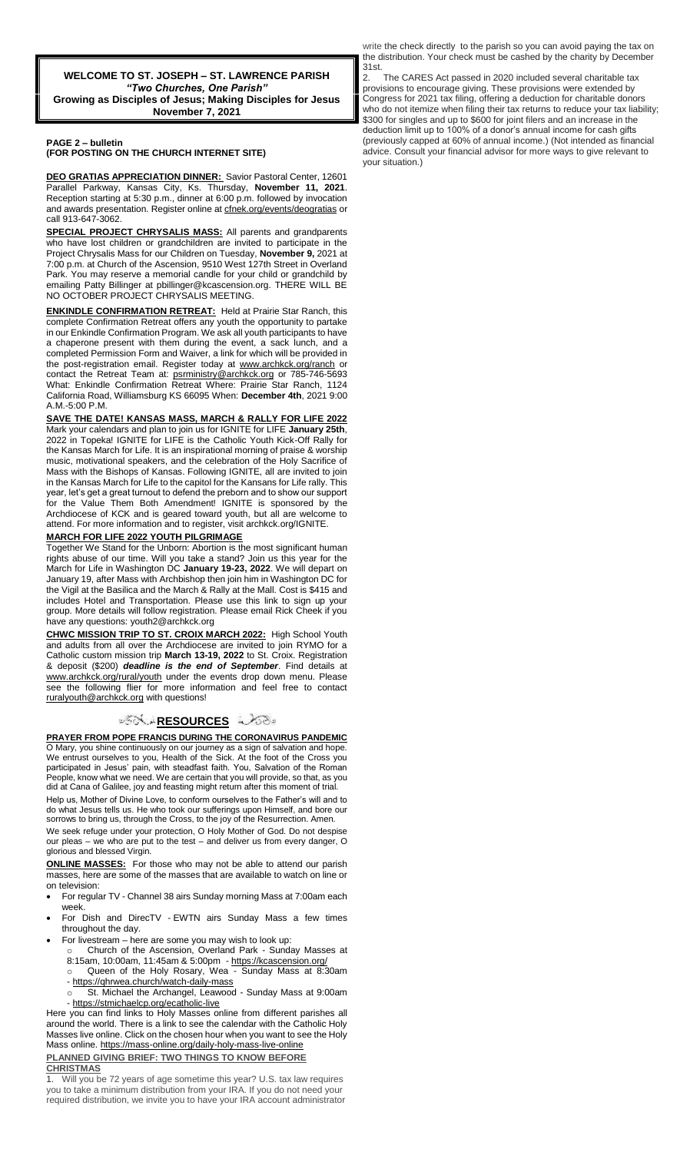**WELCOME TO ST. JOSEPH – ST. LAWRENCE PARISH** *"Two Churches, One Parish"* **Growing as Disciples of Jesus; Making Disciples for Jesus November 7, 2021**

## **PAGE 2 – bulletin (FOR POSTING ON THE CHURCH INTERNET SITE)**

**DEO GRATIAS APPRECIATION DINNER:** Savior Pastoral Center, 12601 Parallel Parkway, Kansas City, Ks. Thursday, **November 11, 2021**. Reception starting at 5:30 p.m., dinner at 6:00 p.m. followed by invocation and awards presentation. Register online a[t cfnek.org/events/deogratias](http://cfnek.org/events/deogratias) or call 913-647-3062.

**SPECIAL PROJECT CHRYSALIS MASS:** All parents and grandparents who have lost children or grandchildren are invited to participate in the Project Chrysalis Mass for our Children on Tuesday, **November 9,** 2021 at 7:00 p.m. at Church of the Ascension, 9510 West 127th Street in Overland Park. You may reserve a memorial candle for your child or grandchild by emailing Patty Billinger at pbillinger@kcascension.org. THERE WILL BE NO OCTOBER PROJECT CHRYSALIS MEETING.

**ENKINDLE CONFIRMATION RETREAT:** Held at Prairie Star Ranch, this complete Confirmation Retreat offers any youth the opportunity to partake in our Enkindle Confirmation Program. We ask all youth participants to have a chaperone present with them during the event, a sack lunch, and a completed Permission Form and Waiver, a link for which will be provided in the post-registration email. Register today at www.archkck.org/ranch or contact the Retreat Team at: psrministry@archkck.org or 785-746-5693 What: Enkindle Confirmation Retreat Where: Prairie Star Ranch, 1124 California Road, Williamsburg KS 66095 When: **December 4th**, 2021 9:00 A.M.-5:00 P.M.

**SAVE THE DATE! KANSAS MASS, MARCH & RALLY FOR LIFE 2022**  Mark your calendars and plan to join us for IGNITE for LIFE **January 25th**, 2022 in Topeka! IGNITE for LIFE is the Catholic Youth Kick-Off Rally for the Kansas March for Life. It is an inspirational morning of praise & worship music, motivational speakers, and the celebration of the Holy Sacrifice of Mass with the Bishops of Kansas. Following IGNITE, all are invited to join in the Kansas March for Life to the capitol for the Kansans for Life rally. This year, let's get a great turnout to defend the preborn and to show our support for the Value Them Both Amendment! IGNITE is sponsored by the Archdiocese of KCK and is geared toward youth, but all are welcome to attend. For more information and to register, visit archkck.org/IGNITE.

## **MARCH FOR LIFE 2022 YOUTH PILGRIMAGE**

Together We Stand for the Unborn: Abortion is the most significant human rights abuse of our time. Will you take a stand? Join us this year for the March for Life in Washington DC **January 19-23, 2022**. We will depart on January 19, after Mass with Archbishop then join him in Washington DC for the Vigil at the Basilica and the March & Rally at the Mall. Cost is \$415 and includes Hotel and Transportation. Please use this link to sign up your group. More details will follow registration. Please email Rick Cheek if you have any questions: youth2@archkck.org

**CHWC MISSION TRIP TO ST. CROIX MARCH 2022:** High School Youth and adults from all over the Archdiocese are invited to join RYMO for a Catholic custom mission trip **March 13-19, 2022** to St. Croix. Registration & deposit (\$200) *deadline is the end of September*. Find details at www.archkck.org/rural/youth under the events drop down menu. Please see the following flier for more information and feel free to contact ruralyouth@archkck.org with questions!

## ಿನ**್ಲಿ <u>RESOURCES</u> ಎಂ**ಡಿ

**PRAYER FROM POPE FRANCIS DURING THE CORONAVIRUS PANDEMIC** O Mary, you shine continuously on our journey as a sign of salvation and hope. We entrust ourselves to you, Health of the Sick. At the foot of the Cross you participated in Jesus' pain, with steadfast faith. You, Salvation of the Roman People, know what we need. We are certain that you will provide, so that, as you did at Cana of Galilee, joy and feasting might return after this moment of trial.

Help us, Mother of Divine Love, to conform ourselves to the Father's will and to do what Jesus tells us. He who took our sufferings upon Himself, and bore our sorrows to bring us, through the Cross, to the joy of the Resurrection. Amen.

We seek refuge under your protection, O Holy Mother of God. Do not despise our pleas – we who are put to the test – and deliver us from every danger, O glorious and blessed Virgin.

**ONLINE MASSES:** For those who may not be able to attend our parish masses, here are some of the masses that are available to watch on line or on television:

 For regular TV - Channel 38 airs Sunday morning Mass at 7:00am each week.

- For Dish and DirecTV EWTN airs Sunday Mass a few times throughout the day.
- For livestream here are some you may wish to look up:

Church of the Ascension, Overland Park - Sunday Masses at 8:15am, 10:00am, 11:45am & 5:00pm - <https://kcascension.org/> Queen of the Holy Rosary, Wea - Sunday Mass at 8:30am

- <https://qhrwea.church/watch-daily-mass>

St. Michael the Archangel, Leawood - Sunday Mass at 9:00am - <https://stmichaelcp.org/ecatholic-live>

Here you can find links to Holy Masses online from different parishes all around the world. There is a link to see the calendar with the Catholic Holy Masses live online. Click on the chosen hour when you want to see the Holy Mass online[. https://mass-online.org/daily-holy-mass-live-online](https://mass-online.org/daily-holy-mass-live-online) **PLANNED GIVING BRIEF: TWO THINGS TO KNOW BEFORE** 

## **CHRISTMAS**

1. Will you be 72 years of age sometime this year? U.S. tax law requires you to take a minimum distribution from your IRA. If you do not need your required distribution, we invite you to have your IRA account administrator

write the check directly to the parish so you can avoid paying the tax on the distribution. Your check must be cashed by the charity by December 31st.

2. The CARES Act passed in 2020 included several charitable tax provisions to encourage giving. These provisions were extended by Congress for 2021 tax filing, offering a deduction for charitable donors who do not itemize when filing their tax returns to reduce your tax liability; \$300 for singles and up to \$600 for joint filers and an increase in the deduction limit up to 100% of a donor's annual income for cash gifts (previously capped at 60% of annual income.) (Not intended as financial advice. Consult your financial advisor for more ways to give relevant to your situation.)